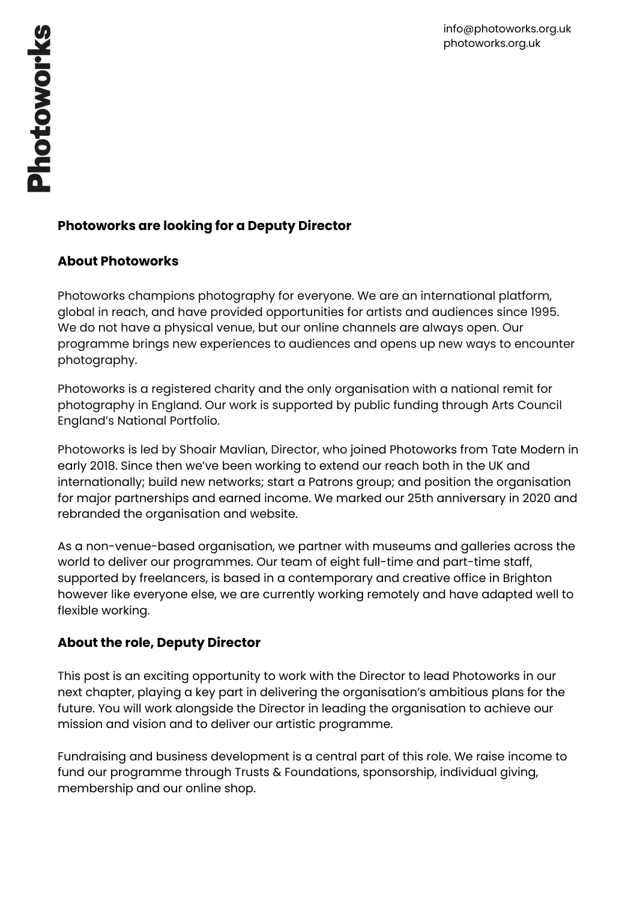# **Photoworks are looking for a Deputy Director**

## **About Photoworks**

Photoworks champions photography for everyone. We are an international platform, global in reach, and have provided opportunities for artists and audiences since 1995. We do not have a physical venue, but our online channels are always open. Our programme brings new experiences to audiences and opens up new ways to encounter photography.

Photoworks is a registered charity and the only organisation with a national remit for photography in England. Our work is supported by public funding through Arts Council England's National Portfolio.

Photoworks is led by Shoair Mavlian, Director, who joined Photoworks from Tate Modern in early 2018. Since then we've been working to extend our reach both in the UK and internationally; build new networks; start a Patrons group; and position the organisation for major partnerships and earned income. We marked our 25th anniversary in 2020 and rebranded the organisation and website.

As a non-venue-based organisation, we partner with museums and galleries across the world to deliver our programmes. Our team of eight full-time and part-time staff, supported by freelancers, is based in a contemporary and creative office in Brighton however like everyone else, we are currently working remotely and have adapted well to flexible working.

## **About the role, Deputy Director**

This post is an exciting opportunity to work with the Director to lead Photoworks in our next chapter, playing a key part in delivering the organisation's ambitious plans for the future. You will work alongside the Director in leading the organisation to achieve our mission and vision and to deliver our artistic programme.

Fundraising and business development is a central part of this role. We raise income to fund our programme through Trusts & Foundations, sponsorship, individual giving, membership and our online shop.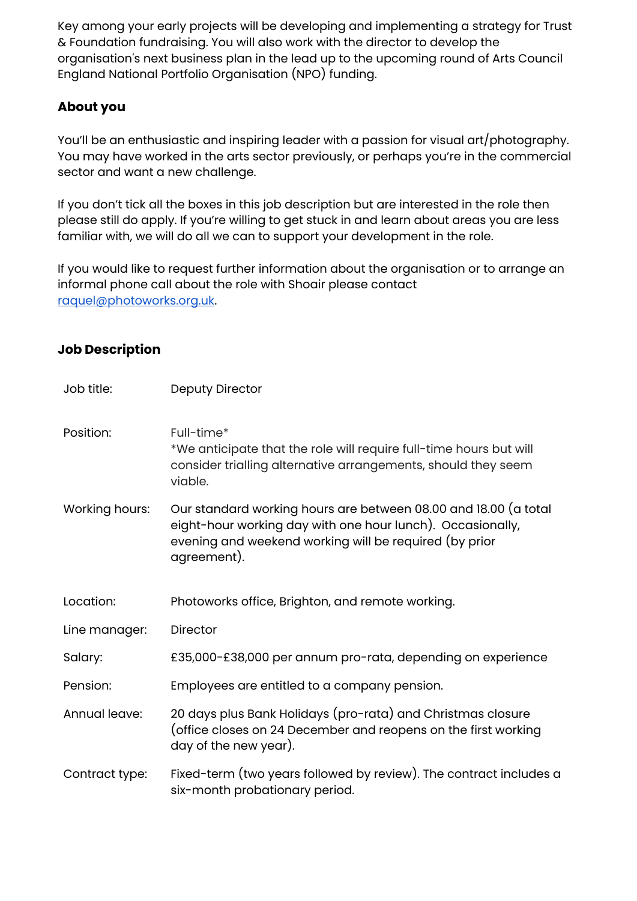Key among your early projects will be developing and implementing a strategy for Trust & Foundation fundraising. You will also work with the director to develop the organisation's next business plan in the lead up to the upcoming round of Arts Council England National Portfolio Organisation (NPO) funding.

## **About you**

You'll be an enthusiastic and inspiring leader with a passion for visual art/photography. You may have worked in the arts sector previously, or perhaps you're in the commercial sector and want a new challenge.

If you don't tick all the boxes in this job description but are interested in the role then please still do apply. If you're willing to get stuck in and learn about areas you are less familiar with, we will do all we can to support your development in the role.

If you would like to request further information about the organisation or to arrange an informal phone call about the role with Shoair please contact [raquel@photoworks.org.uk](mailto:raquel@photoworks.org.uk).

### **Job Description**

| Job title:     | <b>Deputy Director</b>                                                                                                                                                                                 |
|----------------|--------------------------------------------------------------------------------------------------------------------------------------------------------------------------------------------------------|
| Position:      | Full-time*<br>*We anticipate that the role will require full-time hours but will<br>consider trialling alternative arrangements, should they seem<br>viable.                                           |
| Working hours: | Our standard working hours are between 08.00 and 18.00 (a total<br>eight-hour working day with one hour lunch). Occasionally,<br>evening and weekend working will be required (by prior<br>agreement). |
| Location:      | Photoworks office, Brighton, and remote working.                                                                                                                                                       |
| Line manager:  | <b>Director</b>                                                                                                                                                                                        |
| Salary:        | £35,000-£38,000 per annum pro-rata, depending on experience                                                                                                                                            |
| Pension:       | Employees are entitled to a company pension.                                                                                                                                                           |
| Annual leave:  | 20 days plus Bank Holidays (pro-rata) and Christmas closure<br>(office closes on 24 December and reopens on the first working<br>day of the new year).                                                 |
| Contract type: | Fixed-term (two years followed by review). The contract includes a<br>six-month probationary period.                                                                                                   |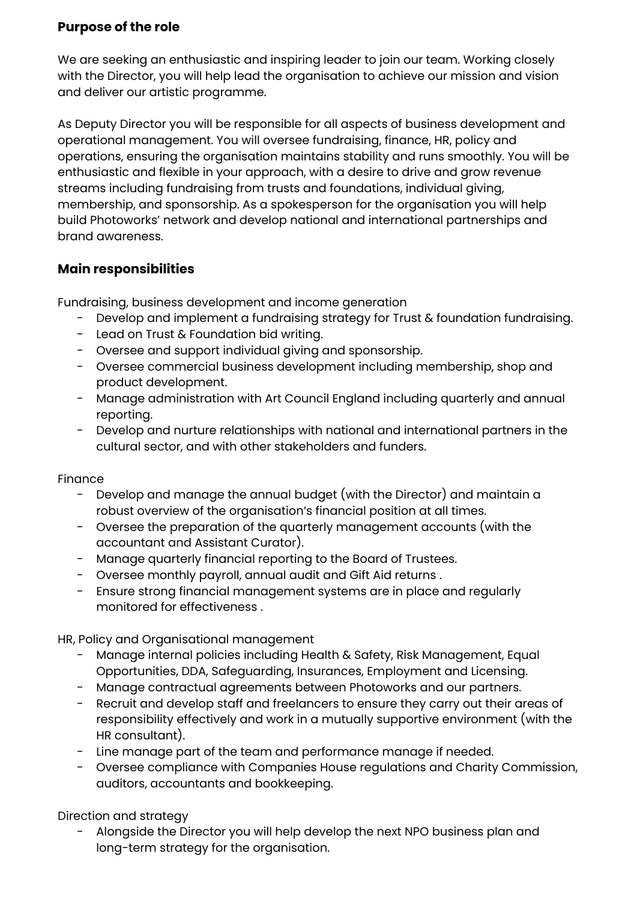### **Purpose of the role**

We are seeking an enthusiastic and inspiring leader to join our team. Working closely with the Director, you will help lead the organisation to achieve our mission and vision and deliver our artistic programme.

As Deputy Director you will be responsible for all aspects of business development and operational management. You will oversee fundraising, finance, HR, policy and operations, ensuring the organisation maintains stability and runs smoothly. You will be enthusiastic and flexible in your approach, with a desire to drive and grow revenue streams including fundraising from trusts and foundations, individual giving, membership, and sponsorship. As a spokesperson for the organisation you will help build Photoworks' network and develop national and international partnerships and brand awareness.

### **Main responsibilities**

Fundraising, business development and income generation

- Develop and implement a fundraising strategy for Trust & foundation fundraising.
- Lead on Trust & Foundation bid writing.
- Oversee and support individual giving and sponsorship.
- Oversee commercial business development including membership, shop and product development.
- Manage administration with Art Council England including quarterly and annual reporting.
- Develop and nurture relationships with national and international partners in the cultural sector, and with other stakeholders and funders.

#### Finance

- Develop and manage the annual budget (with the Director) and maintain a robust overview of the organisation's financial position at all times.
- Oversee the preparation of the quarterly management accounts (with the accountant and Assistant Curator).
- Manage quarterly financial reporting to the Board of Trustees.
- Oversee monthly payroll, annual audit and Gift Aid returns .
- Ensure strong financial management systems are in place and regularly monitored for effectiveness .

HR, Policy and Organisational management

- Manage internal policies including Health & Safety, Risk Management, Equal Opportunities, DDA, Safeguarding, Insurances, Employment and Licensing.
- Manage contractual agreements between Photoworks and our partners.
- Recruit and develop staff and freelancers to ensure they carry out their areas of responsibility effectively and work in a mutually supportive environment (with the HR consultant).
- Line manage part of the team and performance manage if needed.
- Oversee compliance with Companies House regulations and Charity Commission, auditors, accountants and bookkeeping.

Direction and strategy

- Alongside the Director you will help develop the next NPO business plan and long-term strategy for the organisation.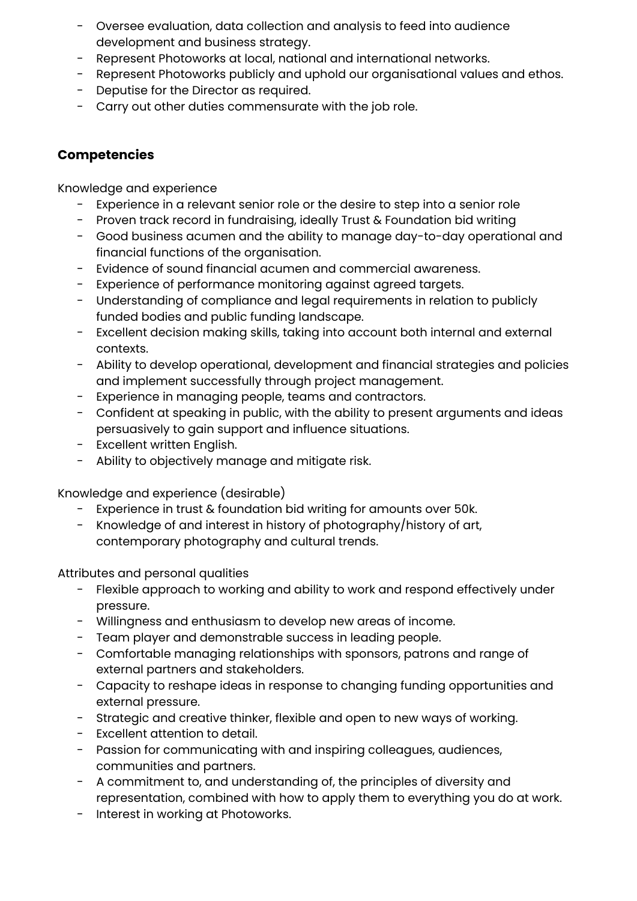- Oversee evaluation, data collection and analysis to feed into audience development and business strategy.
- Represent Photoworks at local, national and international networks.
- Represent Photoworks publicly and uphold our organisational values and ethos.
- Deputise for the Director as required.
- Carry out other duties commensurate with the job role.

## **Competencies**

Knowledge and experience

- Experience in a relevant senior role or the desire to step into a senior role
- Proven track record in fundraising, ideally Trust & Foundation bid writing
- Good business acumen and the ability to manage day-to-day operational and financial functions of the organisation.
- Evidence of sound financial acumen and commercial awareness.
- Experience of performance monitoring against agreed targets.
- Understanding of compliance and legal requirements in relation to publicly funded bodies and public funding landscape.
- Excellent decision making skills, taking into account both internal and external contexts.
- Ability to develop operational, development and financial strategies and policies and implement successfully through project management.
- Experience in managing people, teams and contractors.
- Confident at speaking in public, with the ability to present arguments and ideas persuasively to gain support and influence situations.
- Excellent written English.
- Ability to objectively manage and mitigate risk.

Knowledge and experience (desirable)

- Experience in trust & foundation bid writing for amounts over 50k.
- Knowledge of and interest in history of photography/history of art, contemporary photography and cultural trends.

Attributes and personal qualities

- Flexible approach to working and ability to work and respond effectively under pressure.
- Willingness and enthusiasm to develop new areas of income.
- Team player and demonstrable success in leading people.
- Comfortable managing relationships with sponsors, patrons and range of external partners and stakeholders.
- Capacity to reshape ideas in response to changing funding opportunities and external pressure.
- Strategic and creative thinker, flexible and open to new ways of working.
- Excellent attention to detail.
- Passion for communicating with and inspiring colleagues, audiences, communities and partners.
- A commitment to, and understanding of, the principles of diversity and representation, combined with how to apply them to everything you do at work.
- Interest in working at Photoworks.